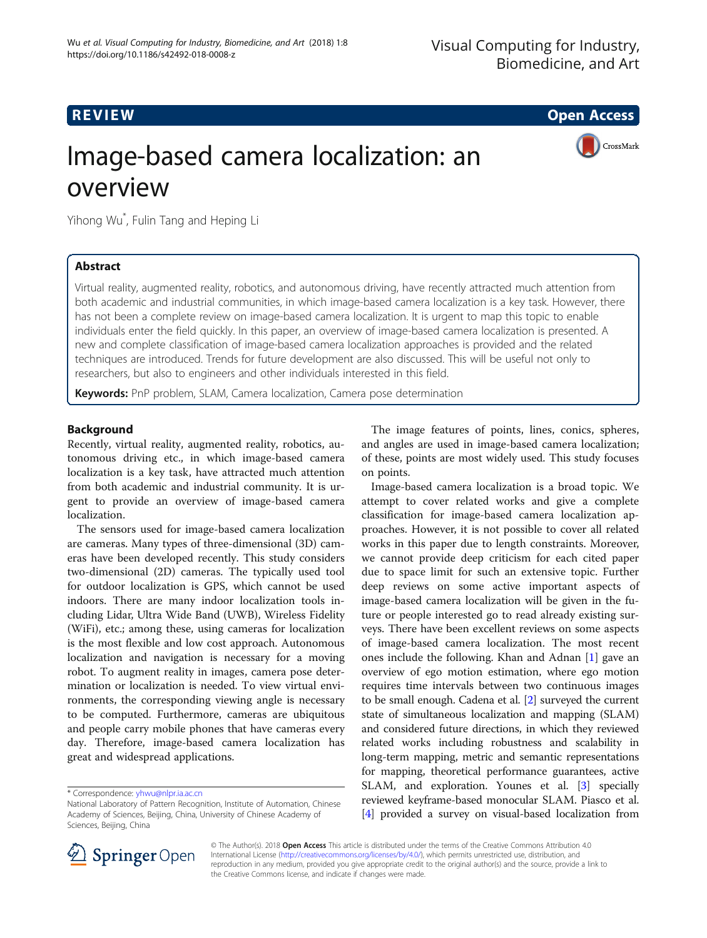R EVI EW Open Access

CrossMark

# Image-based camera localization: an overview

Yihong Wu\* , Fulin Tang and Heping Li

# Abstract

Virtual reality, augmented reality, robotics, and autonomous driving, have recently attracted much attention from both academic and industrial communities, in which image-based camera localization is a key task. However, there has not been a complete review on image-based camera localization. It is urgent to map this topic to enable individuals enter the field quickly. In this paper, an overview of image-based camera localization is presented. A new and complete classification of image-based camera localization approaches is provided and the related techniques are introduced. Trends for future development are also discussed. This will be useful not only to researchers, but also to engineers and other individuals interested in this field.

Keywords: PnP problem, SLAM, Camera localization, Camera pose determination

# Background

Recently, virtual reality, augmented reality, robotics, autonomous driving etc., in which image-based camera localization is a key task, have attracted much attention from both academic and industrial community. It is urgent to provide an overview of image-based camera localization.

The sensors used for image-based camera localization are cameras. Many types of three-dimensional (3D) cameras have been developed recently. This study considers two-dimensional (2D) cameras. The typically used tool for outdoor localization is GPS, which cannot be used indoors. There are many indoor localization tools including Lidar, Ultra Wide Band (UWB), Wireless Fidelity (WiFi), etc.; among these, using cameras for localization is the most flexible and low cost approach. Autonomous localization and navigation is necessary for a moving robot. To augment reality in images, camera pose determination or localization is needed. To view virtual environments, the corresponding viewing angle is necessary to be computed. Furthermore, cameras are ubiquitous and people carry mobile phones that have cameras every day. Therefore, image-based camera localization has great and widespread applications.

The image features of points, lines, conics, spheres, and angles are used in image-based camera localization; of these, points are most widely used. This study focuses on points.

Image-based camera localization is a broad topic. We attempt to cover related works and give a complete classification for image-based camera localization approaches. However, it is not possible to cover all related works in this paper due to length constraints. Moreover, we cannot provide deep criticism for each cited paper due to space limit for such an extensive topic. Further deep reviews on some active important aspects of image-based camera localization will be given in the future or people interested go to read already existing surveys. There have been excellent reviews on some aspects of image-based camera localization. The most recent ones include the following. Khan and Adnan [\[1](#page-8-0)] gave an overview of ego motion estimation, where ego motion requires time intervals between two continuous images to be small enough. Cadena et al. [\[2](#page-8-0)] surveyed the current state of simultaneous localization and mapping (SLAM) and considered future directions, in which they reviewed related works including robustness and scalability in long-term mapping, metric and semantic representations for mapping, theoretical performance guarantees, active SLAM, and exploration. Younes et al. [[3](#page-8-0)] specially reviewed keyframe-based monocular SLAM. Piasco et al. [[4\]](#page-8-0) provided a survey on visual-based localization from



© The Author(s). 2018 Open Access This article is distributed under the terms of the Creative Commons Attribution 4.0 International License ([http://creativecommons.org/licenses/by/4.0/\)](http://creativecommons.org/licenses/by/4.0/), which permits unrestricted use, distribution, and reproduction in any medium, provided you give appropriate credit to the original author(s) and the source, provide a link to the Creative Commons license, and indicate if changes were made.

<sup>\*</sup> Correspondence: [yhwu@nlpr.ia.ac.cn](mailto:yhwu@nlpr.ia.ac.cn)

National Laboratory of Pattern Recognition, Institute of Automation, Chinese Academy of Sciences, Beijing, China, University of Chinese Academy of Sciences, Beijing, China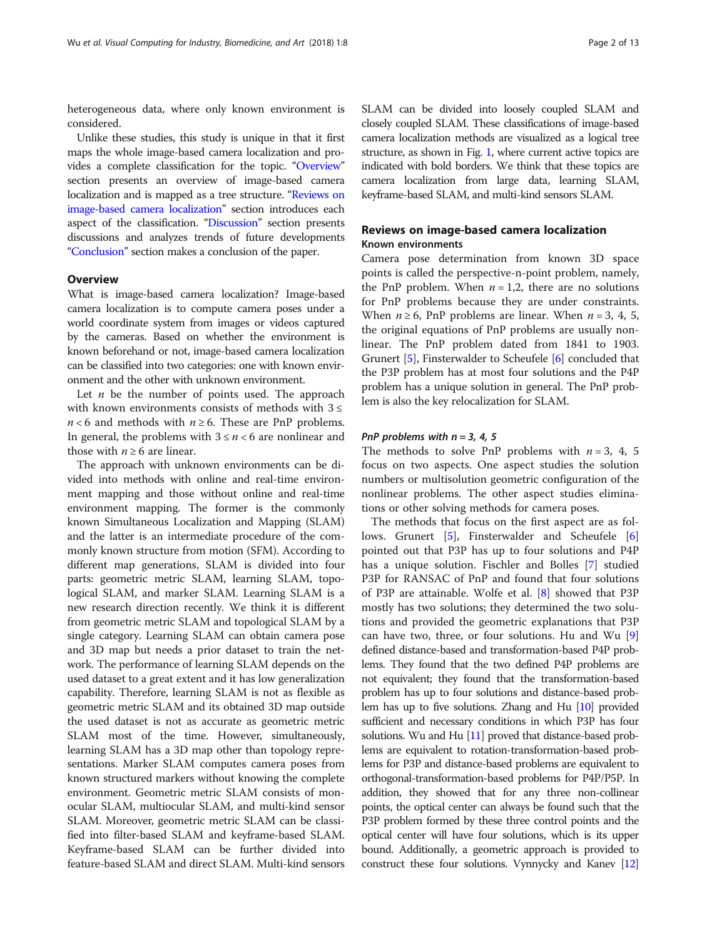heterogeneous data, where only known environment is considered.

Unlike these studies, this study is unique in that it first maps the whole image-based camera localization and provides a complete classification for the topic. "Overview" section presents an overview of image-based camera localization and is mapped as a tree structure. "Reviews on image-based camera localization" section introduces each aspect of the classification. "[Discussion](#page-8-0)" section presents discussions and analyzes trends of future developments "[Conclusion](#page-8-0)" section makes a conclusion of the paper.

# **Overview**

What is image-based camera localization? Image-based camera localization is to compute camera poses under a world coordinate system from images or videos captured by the cameras. Based on whether the environment is known beforehand or not, image-based camera localization can be classified into two categories: one with known environment and the other with unknown environment.

Let  $n$  be the number of points used. The approach with known environments consists of methods with  $3 \leq$  $n < 6$  and methods with  $n \ge 6$ . These are PnP problems. In general, the problems with  $3 \le n < 6$  are nonlinear and those with  $n \geq 6$  are linear.

The approach with unknown environments can be divided into methods with online and real-time environment mapping and those without online and real-time environment mapping. The former is the commonly known Simultaneous Localization and Mapping (SLAM) and the latter is an intermediate procedure of the commonly known structure from motion (SFM). According to different map generations, SLAM is divided into four parts: geometric metric SLAM, learning SLAM, topological SLAM, and marker SLAM. Learning SLAM is a new research direction recently. We think it is different from geometric metric SLAM and topological SLAM by a single category. Learning SLAM can obtain camera pose and 3D map but needs a prior dataset to train the network. The performance of learning SLAM depends on the used dataset to a great extent and it has low generalization capability. Therefore, learning SLAM is not as flexible as geometric metric SLAM and its obtained 3D map outside the used dataset is not as accurate as geometric metric SLAM most of the time. However, simultaneously, learning SLAM has a 3D map other than topology representations. Marker SLAM computes camera poses from known structured markers without knowing the complete environment. Geometric metric SLAM consists of monocular SLAM, multiocular SLAM, and multi-kind sensor SLAM. Moreover, geometric metric SLAM can be classified into filter-based SLAM and keyframe-based SLAM. Keyframe-based SLAM can be further divided into feature-based SLAM and direct SLAM. Multi-kind sensors SLAM can be divided into loosely coupled SLAM and closely coupled SLAM. These classifications of image-based camera localization methods are visualized as a logical tree structure, as shown in Fig. [1](#page-2-0), where current active topics are indicated with bold borders. We think that these topics are camera localization from large data, learning SLAM, keyframe-based SLAM, and multi-kind sensors SLAM.

# Reviews on image-based camera localization Known environments

Camera pose determination from known 3D space points is called the perspective-n-point problem, namely, the PnP problem. When  $n = 1,2$ , there are no solutions for PnP problems because they are under constraints. When  $n \ge 6$ , PnP problems are linear. When  $n = 3, 4, 5$ , the original equations of PnP problems are usually nonlinear. The PnP problem dated from 1841 to 1903. Grunert [\[5\]](#page-8-0), Finsterwalder to Scheufele [[6\]](#page-8-0) concluded that the P3P problem has at most four solutions and the P4P problem has a unique solution in general. The PnP problem is also the key relocalization for SLAM.

#### PnP problems with  $n = 3, 4, 5$

The methods to solve PnP problems with  $n = 3, 4, 5$ focus on two aspects. One aspect studies the solution numbers or multisolution geometric configuration of the nonlinear problems. The other aspect studies eliminations or other solving methods for camera poses.

The methods that focus on the first aspect are as fol-lows. Grunert [[5\]](#page-8-0), Finsterwalder and Scheufele [\[6](#page-8-0)] pointed out that P3P has up to four solutions and P4P has a unique solution. Fischler and Bolles [[7\]](#page-8-0) studied P3P for RANSAC of PnP and found that four solutions of P3P are attainable. Wolfe et al. [[8\]](#page-8-0) showed that P3P mostly has two solutions; they determined the two solutions and provided the geometric explanations that P3P can have two, three, or four solutions. Hu and Wu [\[9](#page-8-0)] defined distance-based and transformation-based P4P problems. They found that the two defined P4P problems are not equivalent; they found that the transformation-based problem has up to four solutions and distance-based problem has up to five solutions. Zhang and Hu [\[10\]](#page-8-0) provided sufficient and necessary conditions in which P3P has four solutions. Wu and Hu [\[11](#page-8-0)] proved that distance-based problems are equivalent to rotation-transformation-based problems for P3P and distance-based problems are equivalent to orthogonal-transformation-based problems for P4P/P5P. In addition, they showed that for any three non-collinear points, the optical center can always be found such that the P3P problem formed by these three control points and the optical center will have four solutions, which is its upper bound. Additionally, a geometric approach is provided to construct these four solutions. Vynnycky and Kanev [\[12](#page-8-0)]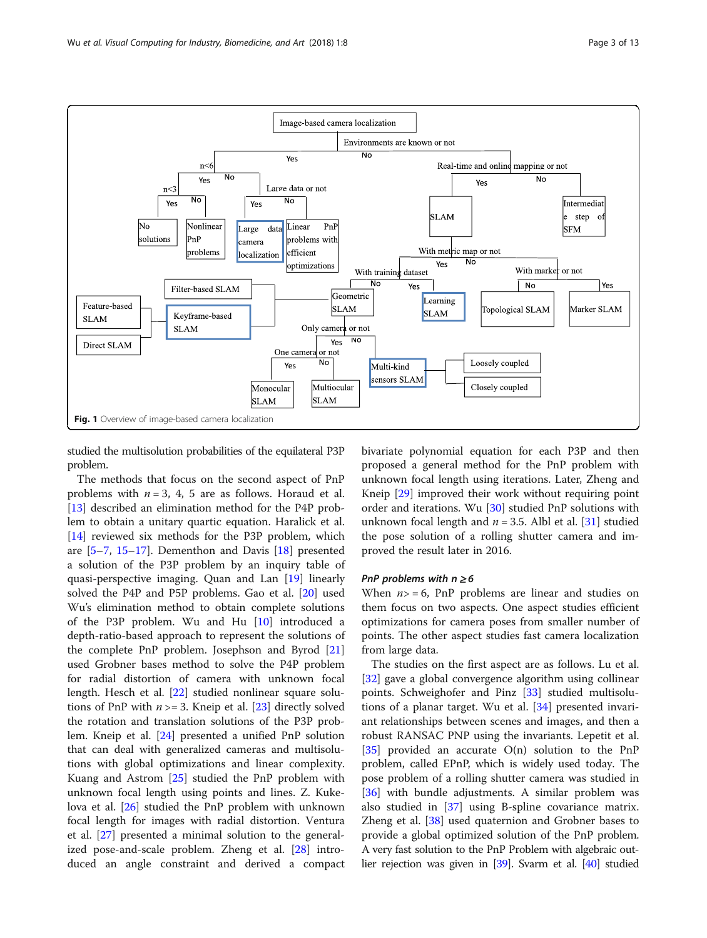<span id="page-2-0"></span>

studied the multisolution probabilities of the equilateral P3P problem.

The methods that focus on the second aspect of PnP problems with  $n = 3$ , 4, 5 are as follows. Horaud et al. [[13\]](#page-8-0) described an elimination method for the P4P problem to obtain a unitary quartic equation. Haralick et al. [[14\]](#page-8-0) reviewed six methods for the P3P problem, which are [\[5](#page-8-0)–[7](#page-8-0), [15](#page-8-0)–[17\]](#page-8-0). Dementhon and Davis [[18\]](#page-8-0) presented a solution of the P3P problem by an inquiry table of quasi-perspective imaging. Quan and Lan [[19\]](#page-8-0) linearly solved the P4P and P5P problems. Gao et al. [[20\]](#page-8-0) used Wu's elimination method to obtain complete solutions of the P3P problem. Wu and Hu [\[10\]](#page-8-0) introduced a depth-ratio-based approach to represent the solutions of the complete PnP problem. Josephson and Byrod [[21](#page-9-0)] used Grobner bases method to solve the P4P problem for radial distortion of camera with unknown focal length. Hesch et al. [[22\]](#page-9-0) studied nonlinear square solutions of PnP with  $n > = 3$ . Kneip et al. [\[23](#page-9-0)] directly solved the rotation and translation solutions of the P3P problem. Kneip et al. [[24\]](#page-9-0) presented a unified PnP solution that can deal with generalized cameras and multisolutions with global optimizations and linear complexity. Kuang and Astrom [\[25\]](#page-9-0) studied the PnP problem with unknown focal length using points and lines. Z. Kukelova et al. [[26\]](#page-9-0) studied the PnP problem with unknown focal length for images with radial distortion. Ventura et al. [\[27](#page-9-0)] presented a minimal solution to the generalized pose-and-scale problem. Zheng et al. [[28](#page-9-0)] introduced an angle constraint and derived a compact bivariate polynomial equation for each P3P and then proposed a general method for the PnP problem with unknown focal length using iterations. Later, Zheng and Kneip [[29](#page-9-0)] improved their work without requiring point order and iterations. Wu [[30\]](#page-9-0) studied PnP solutions with unknown focal length and  $n = 3.5$ . Albl et al. [[31\]](#page-9-0) studied the pose solution of a rolling shutter camera and improved the result later in 2016.

#### PnP problems with  $n \ge 6$

When  $n>$  = 6, PnP problems are linear and studies on them focus on two aspects. One aspect studies efficient optimizations for camera poses from smaller number of points. The other aspect studies fast camera localization from large data.

The studies on the first aspect are as follows. Lu et al. [[32\]](#page-9-0) gave a global convergence algorithm using collinear points. Schweighofer and Pinz [[33](#page-9-0)] studied multisolutions of a planar target. Wu et al. [\[34\]](#page-9-0) presented invariant relationships between scenes and images, and then a robust RANSAC PNP using the invariants. Lepetit et al. [[35\]](#page-9-0) provided an accurate  $O(n)$  solution to the PnP problem, called EPnP, which is widely used today. The pose problem of a rolling shutter camera was studied in [[36\]](#page-9-0) with bundle adjustments. A similar problem was also studied in [\[37\]](#page-9-0) using B-spline covariance matrix. Zheng et al. [\[38](#page-9-0)] used quaternion and Grobner bases to provide a global optimized solution of the PnP problem. A very fast solution to the PnP Problem with algebraic outlier rejection was given in [\[39\]](#page-9-0). Svarm et al. [\[40\]](#page-9-0) studied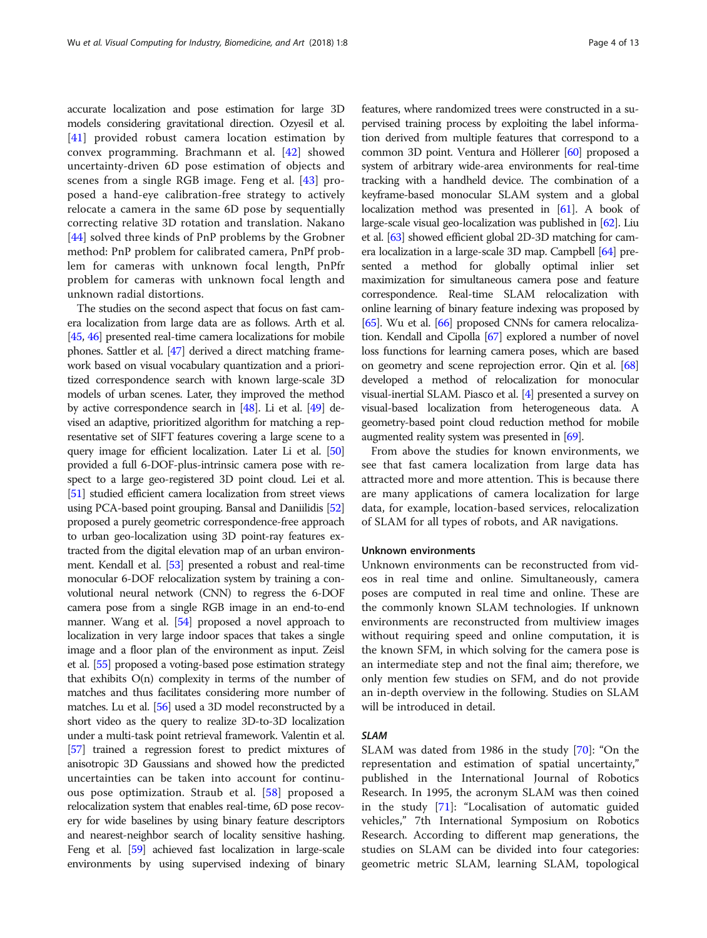accurate localization and pose estimation for large 3D models considering gravitational direction. Ozyesil et al. [[41\]](#page-9-0) provided robust camera location estimation by convex programming. Brachmann et al. [[42\]](#page-9-0) showed uncertainty-driven 6D pose estimation of objects and scenes from a single RGB image. Feng et al. [\[43](#page-9-0)] proposed a hand-eye calibration-free strategy to actively relocate a camera in the same 6D pose by sequentially correcting relative 3D rotation and translation. Nakano [[44\]](#page-9-0) solved three kinds of PnP problems by the Grobner method: PnP problem for calibrated camera, PnPf problem for cameras with unknown focal length, PnPfr problem for cameras with unknown focal length and unknown radial distortions.

The studies on the second aspect that focus on fast camera localization from large data are as follows. Arth et al. [[45](#page-9-0), [46](#page-9-0)] presented real-time camera localizations for mobile phones. Sattler et al. [[47](#page-9-0)] derived a direct matching framework based on visual vocabulary quantization and a prioritized correspondence search with known large-scale 3D models of urban scenes. Later, they improved the method by active correspondence search in [\[48\]](#page-9-0). Li et al. [\[49\]](#page-9-0) devised an adaptive, prioritized algorithm for matching a representative set of SIFT features covering a large scene to a query image for efficient localization. Later Li et al. [\[50](#page-9-0)] provided a full 6-DOF-plus-intrinsic camera pose with respect to a large geo-registered 3D point cloud. Lei et al. [[51](#page-9-0)] studied efficient camera localization from street views using PCA-based point grouping. Bansal and Daniilidis [\[52](#page-9-0)] proposed a purely geometric correspondence-free approach to urban geo-localization using 3D point-ray features extracted from the digital elevation map of an urban environment. Kendall et al. [\[53\]](#page-9-0) presented a robust and real-time monocular 6-DOF relocalization system by training a convolutional neural network (CNN) to regress the 6-DOF camera pose from a single RGB image in an end-to-end manner. Wang et al. [[54](#page-9-0)] proposed a novel approach to localization in very large indoor spaces that takes a single image and a floor plan of the environment as input. Zeisl et al. [\[55\]](#page-9-0) proposed a voting-based pose estimation strategy that exhibits O(n) complexity in terms of the number of matches and thus facilitates considering more number of matches. Lu et al. [\[56](#page-9-0)] used a 3D model reconstructed by a short video as the query to realize 3D-to-3D localization under a multi-task point retrieval framework. Valentin et al. [[57](#page-9-0)] trained a regression forest to predict mixtures of anisotropic 3D Gaussians and showed how the predicted uncertainties can be taken into account for continuous pose optimization. Straub et al. [[58](#page-9-0)] proposed a relocalization system that enables real-time, 6D pose recovery for wide baselines by using binary feature descriptors and nearest-neighbor search of locality sensitive hashing. Feng et al. [[59](#page-9-0)] achieved fast localization in large-scale environments by using supervised indexing of binary

features, where randomized trees were constructed in a supervised training process by exploiting the label information derived from multiple features that correspond to a common 3D point. Ventura and Höllerer [\[60\]](#page-9-0) proposed a system of arbitrary wide-area environments for real-time tracking with a handheld device. The combination of a keyframe-based monocular SLAM system and a global localization method was presented in [\[61\]](#page-9-0). A book of large-scale visual geo-localization was published in [\[62\]](#page-9-0). Liu et al. [\[63](#page-9-0)] showed efficient global 2D-3D matching for camera localization in a large-scale 3D map. Campbell [\[64\]](#page-9-0) presented a method for globally optimal inlier set maximization for simultaneous camera pose and feature correspondence. Real-time SLAM relocalization with online learning of binary feature indexing was proposed by [[65](#page-9-0)]. Wu et al. [\[66\]](#page-9-0) proposed CNNs for camera relocalization. Kendall and Cipolla [\[67](#page-10-0)] explored a number of novel loss functions for learning camera poses, which are based on geometry and scene reprojection error. Qin et al. [\[68](#page-10-0)] developed a method of relocalization for monocular visual-inertial SLAM. Piasco et al. [\[4](#page-8-0)] presented a survey on visual-based localization from heterogeneous data. A geometry-based point cloud reduction method for mobile augmented reality system was presented in [[69](#page-10-0)].

From above the studies for known environments, we see that fast camera localization from large data has attracted more and more attention. This is because there are many applications of camera localization for large data, for example, location-based services, relocalization of SLAM for all types of robots, and AR navigations.

# Unknown environments

Unknown environments can be reconstructed from videos in real time and online. Simultaneously, camera poses are computed in real time and online. These are the commonly known SLAM technologies. If unknown environments are reconstructed from multiview images without requiring speed and online computation, it is the known SFM, in which solving for the camera pose is an intermediate step and not the final aim; therefore, we only mention few studies on SFM, and do not provide an in-depth overview in the following. Studies on SLAM will be introduced in detail.

# SLAM

SLAM was dated from 1986 in the study [\[70\]](#page-10-0): "On the representation and estimation of spatial uncertainty," published in the International Journal of Robotics Research. In 1995, the acronym SLAM was then coined in the study [[71](#page-10-0)]: "Localisation of automatic guided vehicles," 7th International Symposium on Robotics Research. According to different map generations, the studies on SLAM can be divided into four categories: geometric metric SLAM, learning SLAM, topological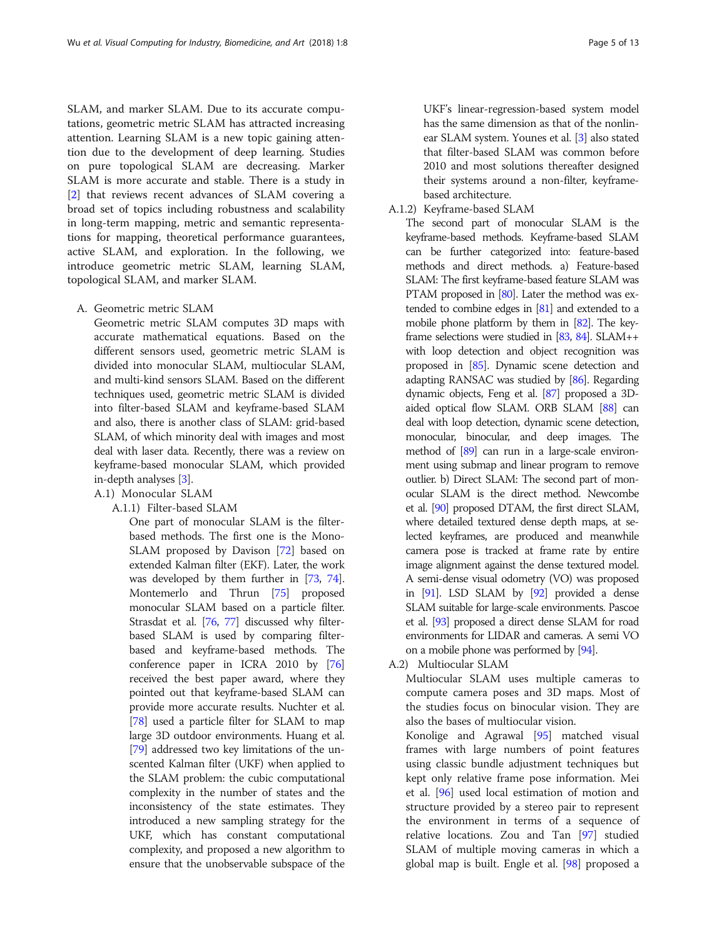SLAM, and marker SLAM. Due to its accurate computations, geometric metric SLAM has attracted increasing attention. Learning SLAM is a new topic gaining attention due to the development of deep learning. Studies on pure topological SLAM are decreasing. Marker SLAM is more accurate and stable. There is a study in [[2\]](#page-8-0) that reviews recent advances of SLAM covering a broad set of topics including robustness and scalability in long-term mapping, metric and semantic representations for mapping, theoretical performance guarantees, active SLAM, and exploration. In the following, we introduce geometric metric SLAM, learning SLAM, topological SLAM, and marker SLAM.

A. Geometric metric SLAM

Geometric metric SLAM computes 3D maps with accurate mathematical equations. Based on the different sensors used, geometric metric SLAM is divided into monocular SLAM, multiocular SLAM, and multi-kind sensors SLAM. Based on the different techniques used, geometric metric SLAM is divided into filter-based SLAM and keyframe-based SLAM and also, there is another class of SLAM: grid-based SLAM, of which minority deal with images and most deal with laser data. Recently, there was a review on keyframe-based monocular SLAM, which provided in-depth analyses [\[3\]](#page-8-0).

# A.1) Monocular SLAM

A.1.1) Filter-based SLAM

One part of monocular SLAM is the filterbased methods. The first one is the Mono-SLAM proposed by Davison [[72](#page-10-0)] based on extended Kalman filter (EKF). Later, the work was developed by them further in [[73](#page-10-0), [74](#page-10-0)]. Montemerlo and Thrun [[75](#page-10-0)] proposed monocular SLAM based on a particle filter. Strasdat et al. [\[76,](#page-10-0) [77\]](#page-10-0) discussed why filterbased SLAM is used by comparing filterbased and keyframe-based methods. The conference paper in ICRA 2010 by [\[76](#page-10-0)] received the best paper award, where they pointed out that keyframe-based SLAM can provide more accurate results. Nuchter et al. [\[78](#page-10-0)] used a particle filter for SLAM to map large 3D outdoor environments. Huang et al. [\[79](#page-10-0)] addressed two key limitations of the unscented Kalman filter (UKF) when applied to the SLAM problem: the cubic computational complexity in the number of states and the inconsistency of the state estimates. They introduced a new sampling strategy for the UKF, which has constant computational complexity, and proposed a new algorithm to ensure that the unobservable subspace of the

UKF's linear-regression-based system model has the same dimension as that of the nonlinear SLAM system. Younes et al. [\[3\]](#page-8-0) also stated that filter-based SLAM was common before 2010 and most solutions thereafter designed their systems around a non-filter, keyframebased architecture.

A.1.2) Keyframe-based SLAM

The second part of monocular SLAM is the keyframe-based methods. Keyframe-based SLAM can be further categorized into: feature-based methods and direct methods. a) Feature-based SLAM: The first keyframe-based feature SLAM was PTAM proposed in [[80\]](#page-10-0). Later the method was extended to combine edges in [\[81](#page-10-0)] and extended to a mobile phone platform by them in [\[82](#page-10-0)]. The keyframe selections were studied in  $[83, 84]$  $[83, 84]$  $[83, 84]$  $[83, 84]$ . SLAM++ with loop detection and object recognition was proposed in [\[85](#page-10-0)]. Dynamic scene detection and adapting RANSAC was studied by [\[86\]](#page-10-0). Regarding dynamic objects, Feng et al. [[87](#page-10-0)] proposed a 3Daided optical flow SLAM. ORB SLAM [\[88](#page-10-0)] can deal with loop detection, dynamic scene detection, monocular, binocular, and deep images. The method of [\[89\]](#page-10-0) can run in a large-scale environment using submap and linear program to remove outlier. b) Direct SLAM: The second part of monocular SLAM is the direct method. Newcombe et al. [\[90](#page-10-0)] proposed DTAM, the first direct SLAM, where detailed textured dense depth maps, at selected keyframes, are produced and meanwhile camera pose is tracked at frame rate by entire image alignment against the dense textured model. A semi-dense visual odometry (VO) was proposed in [\[91](#page-10-0)]. LSD SLAM by [[92\]](#page-10-0) provided a dense SLAM suitable for large-scale environments. Pascoe et al. [\[93\]](#page-10-0) proposed a direct dense SLAM for road environments for LIDAR and cameras. A semi VO on a mobile phone was performed by [[94\]](#page-10-0).

A.2) Multiocular SLAM

Multiocular SLAM uses multiple cameras to compute camera poses and 3D maps. Most of the studies focus on binocular vision. They are also the bases of multiocular vision.

Konolige and Agrawal [[95](#page-10-0)] matched visual frames with large numbers of point features using classic bundle adjustment techniques but kept only relative frame pose information. Mei et al. [[96\]](#page-10-0) used local estimation of motion and structure provided by a stereo pair to represent the environment in terms of a sequence of relative locations. Zou and Tan [[97](#page-10-0)] studied SLAM of multiple moving cameras in which a global map is built. Engle et al. [\[98\]](#page-10-0) proposed a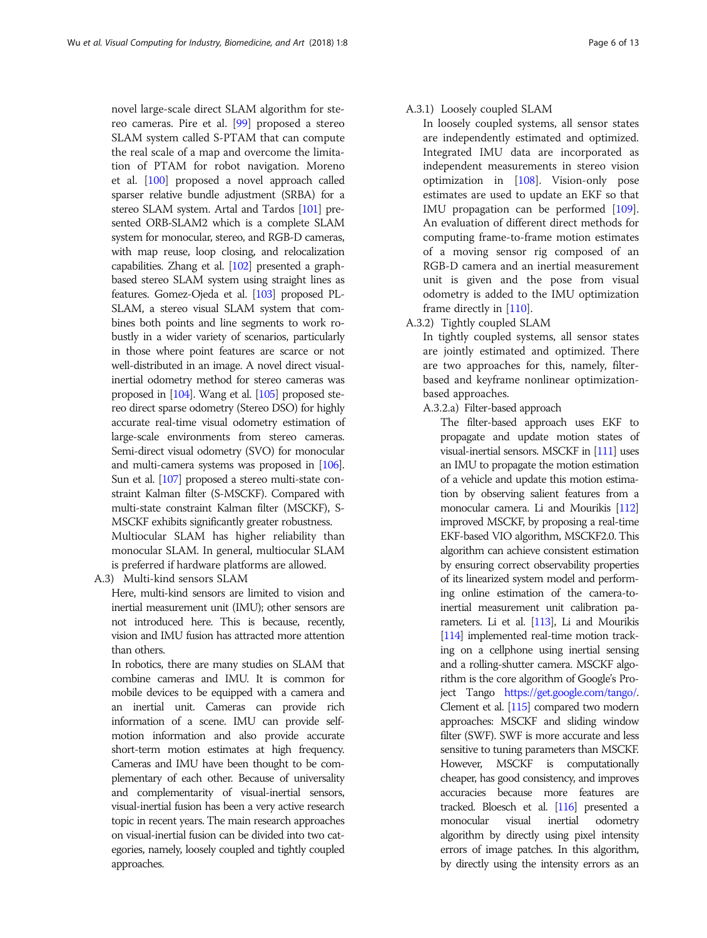novel large-scale direct SLAM algorithm for stereo cameras. Pire et al. [\[99\]](#page-10-0) proposed a stereo SLAM system called S-PTAM that can compute the real scale of a map and overcome the limitation of PTAM for robot navigation. Moreno et al. [[100](#page-10-0)] proposed a novel approach called sparser relative bundle adjustment (SRBA) for a stereo SLAM system. Artal and Tardos [\[101](#page-10-0)] presented ORB-SLAM2 which is a complete SLAM system for monocular, stereo, and RGB-D cameras, with map reuse, loop closing, and relocalization capabilities. Zhang et al. [[102](#page-10-0)] presented a graphbased stereo SLAM system using straight lines as features. Gomez-Ojeda et al. [[103](#page-10-0)] proposed PL-SLAM, a stereo visual SLAM system that combines both points and line segments to work robustly in a wider variety of scenarios, particularly in those where point features are scarce or not well-distributed in an image. A novel direct visualinertial odometry method for stereo cameras was proposed in [\[104\]](#page-10-0). Wang et al. [\[105\]](#page-10-0) proposed stereo direct sparse odometry (Stereo DSO) for highly accurate real-time visual odometry estimation of large-scale environments from stereo cameras. Semi-direct visual odometry (SVO) for monocular and multi-camera systems was proposed in [[106](#page-10-0)]. Sun et al. [\[107](#page-10-0)] proposed a stereo multi-state constraint Kalman filter (S-MSCKF). Compared with multi-state constraint Kalman filter (MSCKF), S-MSCKF exhibits significantly greater robustness. Multiocular SLAM has higher reliability than monocular SLAM. In general, multiocular SLAM is preferred if hardware platforms are allowed.

A.3) Multi-kind sensors SLAM

Here, multi-kind sensors are limited to vision and inertial measurement unit (IMU); other sensors are not introduced here. This is because, recently, vision and IMU fusion has attracted more attention than others.

In robotics, there are many studies on SLAM that combine cameras and IMU. It is common for mobile devices to be equipped with a camera and an inertial unit. Cameras can provide rich information of a scene. IMU can provide selfmotion information and also provide accurate short-term motion estimates at high frequency. Cameras and IMU have been thought to be complementary of each other. Because of universality and complementarity of visual-inertial sensors, visual-inertial fusion has been a very active research topic in recent years. The main research approaches on visual-inertial fusion can be divided into two categories, namely, loosely coupled and tightly coupled approaches.

# A.3.1) Loosely coupled SLAM

In loosely coupled systems, all sensor states are independently estimated and optimized. Integrated IMU data are incorporated as independent measurements in stereo vision optimization in [[108\]](#page-10-0). Vision-only pose estimates are used to update an EKF so that IMU propagation can be performed [[109](#page-10-0)]. An evaluation of different direct methods for computing frame-to-frame motion estimates of a moving sensor rig composed of an RGB-D camera and an inertial measurement unit is given and the pose from visual odometry is added to the IMU optimization frame directly in [\[110\]](#page-10-0).

A.3.2) Tightly coupled SLAM

In tightly coupled systems, all sensor states are jointly estimated and optimized. There are two approaches for this, namely, filterbased and keyframe nonlinear optimizationbased approaches.

A.3.2.a) Filter-based approach

The filter-based approach uses EKF to propagate and update motion states of visual-inertial sensors. MSCKF in [\[111\]](#page-10-0) uses an IMU to propagate the motion estimation of a vehicle and update this motion estimation by observing salient features from a monocular camera. Li and Mourikis [[112](#page-10-0)] improved MSCKF, by proposing a real-time EKF-based VIO algorithm, MSCKF2.0. This algorithm can achieve consistent estimation by ensuring correct observability properties of its linearized system model and performing online estimation of the camera-toinertial measurement unit calibration parameters. Li et al. [\[113\]](#page-10-0), Li and Mourikis [\[114\]](#page-10-0) implemented real-time motion tracking on a cellphone using inertial sensing and a rolling-shutter camera. MSCKF algorithm is the core algorithm of Google's Project Tango <https://get.google.com/tango/>. Clement et al. [[115](#page-10-0)] compared two modern approaches: MSCKF and sliding window filter (SWF). SWF is more accurate and less sensitive to tuning parameters than MSCKF. However, MSCKF is computationally cheaper, has good consistency, and improves accuracies because more features are tracked. Bloesch et al. [\[116\]](#page-10-0) presented a monocular visual inertial odometry algorithm by directly using pixel intensity errors of image patches. In this algorithm, by directly using the intensity errors as an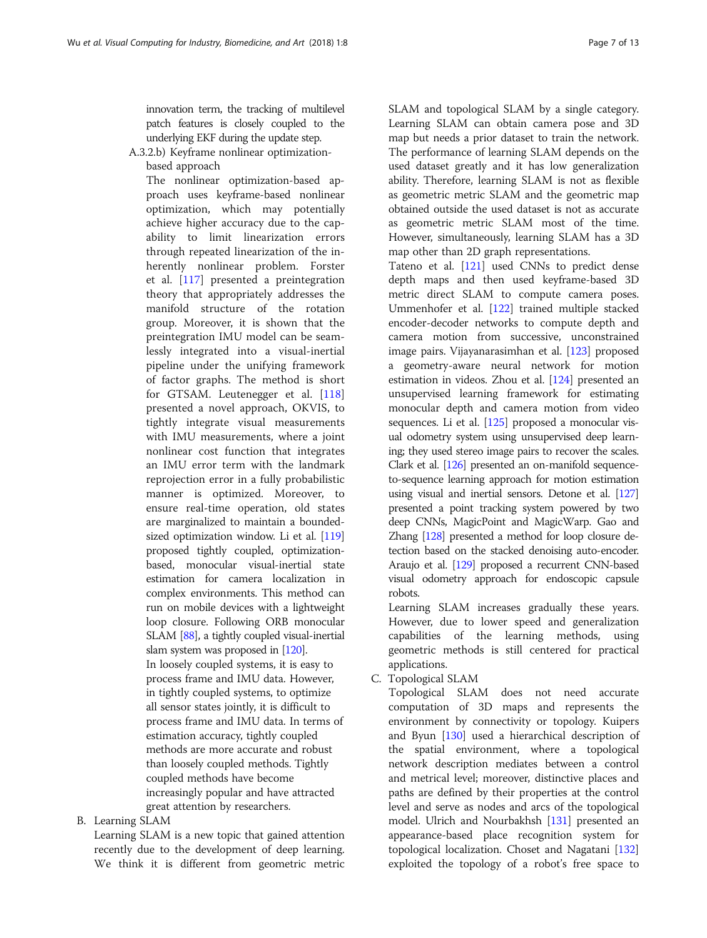innovation term, the tracking of multilevel patch features is closely coupled to the underlying EKF during the update step.

A.3.2.b) Keyframe nonlinear optimizationbased approach

The nonlinear optimization-based approach uses keyframe-based nonlinear optimization, which may potentially achieve higher accuracy due to the capability to limit linearization errors through repeated linearization of the inherently nonlinear problem. Forster et al. [[117\]](#page-11-0) presented a preintegration theory that appropriately addresses the manifold structure of the rotation group. Moreover, it is shown that the preintegration IMU model can be seamlessly integrated into a visual-inertial pipeline under the unifying framework of factor graphs. The method is short for GTSAM. Leutenegger et al. [[118](#page-11-0)] presented a novel approach, OKVIS, to tightly integrate visual measurements with IMU measurements, where a joint nonlinear cost function that integrates an IMU error term with the landmark reprojection error in a fully probabilistic manner is optimized. Moreover, to ensure real-time operation, old states are marginalized to maintain a boundedsized optimization window. Li et al. [\[119](#page-11-0)] proposed tightly coupled, optimizationbased, monocular visual-inertial state estimation for camera localization in complex environments. This method can run on mobile devices with a lightweight loop closure. Following ORB monocular SLAM [[88\]](#page-10-0), a tightly coupled visual-inertial slam system was proposed in [\[120](#page-11-0)]. In loosely coupled systems, it is easy to process frame and IMU data. However, in tightly coupled systems, to optimize all sensor states jointly, it is difficult to process frame and IMU data. In terms of estimation accuracy, tightly coupled methods are more accurate and robust than loosely coupled methods. Tightly coupled methods have become increasingly popular and have attracted great attention by researchers.

B. Learning SLAM

Learning SLAM is a new topic that gained attention recently due to the development of deep learning. We think it is different from geometric metric

SLAM and topological SLAM by a single category. Learning SLAM can obtain camera pose and 3D map but needs a prior dataset to train the network. The performance of learning SLAM depends on the used dataset greatly and it has low generalization ability. Therefore, learning SLAM is not as flexible as geometric metric SLAM and the geometric map obtained outside the used dataset is not as accurate as geometric metric SLAM most of the time. However, simultaneously, learning SLAM has a 3D map other than 2D graph representations.

Tateno et al. [[121\]](#page-11-0) used CNNs to predict dense depth maps and then used keyframe-based 3D metric direct SLAM to compute camera poses. Ummenhofer et al. [\[122\]](#page-11-0) trained multiple stacked encoder-decoder networks to compute depth and camera motion from successive, unconstrained image pairs. Vijayanarasimhan et al. [\[123\]](#page-11-0) proposed a geometry-aware neural network for motion estimation in videos. Zhou et al. [[124](#page-11-0)] presented an unsupervised learning framework for estimating monocular depth and camera motion from video sequences. Li et al. [[125](#page-11-0)] proposed a monocular visual odometry system using unsupervised deep learning; they used stereo image pairs to recover the scales. Clark et al. [\[126](#page-11-0)] presented an on-manifold sequenceto-sequence learning approach for motion estimation using visual and inertial sensors. Detone et al. [[127](#page-11-0)] presented a point tracking system powered by two deep CNNs, MagicPoint and MagicWarp. Gao and Zhang [[128](#page-11-0)] presented a method for loop closure detection based on the stacked denoising auto-encoder. Araujo et al. [\[129\]](#page-11-0) proposed a recurrent CNN-based visual odometry approach for endoscopic capsule robots.

Learning SLAM increases gradually these years. However, due to lower speed and generalization capabilities of the learning methods, using geometric methods is still centered for practical applications.

C. Topological SLAM

Topological SLAM does not need accurate computation of 3D maps and represents the environment by connectivity or topology. Kuipers and Byun [\[130\]](#page-11-0) used a hierarchical description of the spatial environment, where a topological network description mediates between a control and metrical level; moreover, distinctive places and paths are defined by their properties at the control level and serve as nodes and arcs of the topological model. Ulrich and Nourbakhsh [\[131\]](#page-11-0) presented an appearance-based place recognition system for topological localization. Choset and Nagatani [[132](#page-11-0)] exploited the topology of a robot's free space to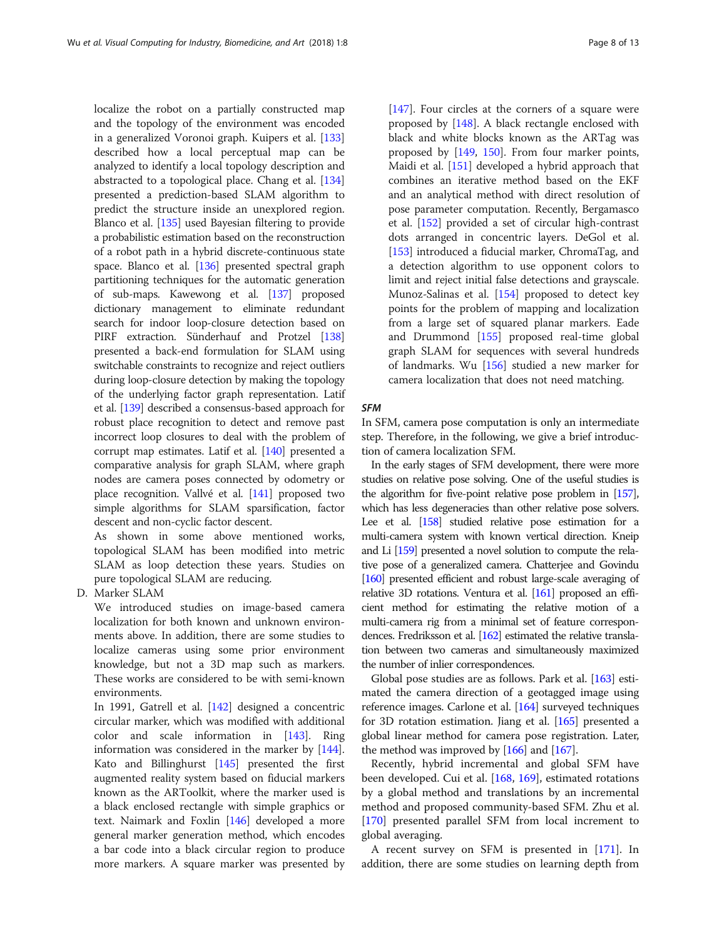localize the robot on a partially constructed map and the topology of the environment was encoded in a generalized Voronoi graph. Kuipers et al. [[133](#page-11-0)] described how a local perceptual map can be analyzed to identify a local topology description and abstracted to a topological place. Chang et al. [[134](#page-11-0)] presented a prediction-based SLAM algorithm to predict the structure inside an unexplored region. Blanco et al. [\[135\]](#page-11-0) used Bayesian filtering to provide a probabilistic estimation based on the reconstruction of a robot path in a hybrid discrete-continuous state space. Blanco et al. [[136\]](#page-11-0) presented spectral graph partitioning techniques for the automatic generation of sub-maps. Kawewong et al. [[137](#page-11-0)] proposed dictionary management to eliminate redundant search for indoor loop-closure detection based on PIRF extraction. Sünderhauf and Protzel [\[138](#page-11-0)] presented a back-end formulation for SLAM using switchable constraints to recognize and reject outliers during loop-closure detection by making the topology of the underlying factor graph representation. Latif et al. [\[139](#page-11-0)] described a consensus-based approach for robust place recognition to detect and remove past incorrect loop closures to deal with the problem of corrupt map estimates. Latif et al. [\[140\]](#page-11-0) presented a comparative analysis for graph SLAM, where graph nodes are camera poses connected by odometry or place recognition. Vallvé et al. [[141\]](#page-11-0) proposed two simple algorithms for SLAM sparsification, factor descent and non-cyclic factor descent.

As shown in some above mentioned works, topological SLAM has been modified into metric SLAM as loop detection these years. Studies on pure topological SLAM are reducing.

D. Marker SLAM

We introduced studies on image-based camera localization for both known and unknown environments above. In addition, there are some studies to localize cameras using some prior environment knowledge, but not a 3D map such as markers. These works are considered to be with semi-known environments.

In 1991, Gatrell et al. [\[142\]](#page-11-0) designed a concentric circular marker, which was modified with additional color and scale information in [\[143\]](#page-11-0). Ring information was considered in the marker by [[144](#page-11-0)]. Kato and Billinghurst [\[145](#page-11-0)] presented the first augmented reality system based on fiducial markers known as the ARToolkit, where the marker used is a black enclosed rectangle with simple graphics or text. Naimark and Foxlin [\[146\]](#page-11-0) developed a more general marker generation method, which encodes a bar code into a black circular region to produce more markers. A square marker was presented by

[[147\]](#page-11-0). Four circles at the corners of a square were proposed by [\[148\]](#page-11-0). A black rectangle enclosed with black and white blocks known as the ARTag was proposed by [[149](#page-11-0), [150](#page-11-0)]. From four marker points, Maidi et al. [\[151\]](#page-11-0) developed a hybrid approach that combines an iterative method based on the EKF and an analytical method with direct resolution of pose parameter computation. Recently, Bergamasco et al. [[152](#page-11-0)] provided a set of circular high-contrast dots arranged in concentric layers. DeGol et al. [[153\]](#page-11-0) introduced a fiducial marker, ChromaTag, and a detection algorithm to use opponent colors to limit and reject initial false detections and grayscale. Munoz-Salinas et al. [[154](#page-11-0)] proposed to detect key points for the problem of mapping and localization from a large set of squared planar markers. Eade and Drummond [\[155\]](#page-11-0) proposed real-time global graph SLAM for sequences with several hundreds of landmarks. Wu [[156\]](#page-11-0) studied a new marker for camera localization that does not need matching.

# SFM

In SFM, camera pose computation is only an intermediate step. Therefore, in the following, we give a brief introduction of camera localization SFM.

In the early stages of SFM development, there were more studies on relative pose solving. One of the useful studies is the algorithm for five-point relative pose problem in [\[157\]](#page-11-0), which has less degeneracies than other relative pose solvers. Lee et al. [\[158\]](#page-11-0) studied relative pose estimation for a multi-camera system with known vertical direction. Kneip and Li [\[159\]](#page-11-0) presented a novel solution to compute the relative pose of a generalized camera. Chatterjee and Govindu [[160](#page-11-0)] presented efficient and robust large-scale averaging of relative 3D rotations. Ventura et al. [\[161\]](#page-11-0) proposed an efficient method for estimating the relative motion of a multi-camera rig from a minimal set of feature correspondences. Fredriksson et al. [\[162\]](#page-11-0) estimated the relative translation between two cameras and simultaneously maximized the number of inlier correspondences.

Global pose studies are as follows. Park et al. [[163](#page-11-0)] estimated the camera direction of a geotagged image using reference images. Carlone et al. [[164](#page-11-0)] surveyed techniques for 3D rotation estimation. Jiang et al. [\[165](#page-11-0)] presented a global linear method for camera pose registration. Later, the method was improved by  $[166]$  $[166]$  $[166]$  and  $[167]$ .

Recently, hybrid incremental and global SFM have been developed. Cui et al. [[168,](#page-12-0) [169\]](#page-12-0), estimated rotations by a global method and translations by an incremental method and proposed community-based SFM. Zhu et al. [[170\]](#page-12-0) presented parallel SFM from local increment to global averaging.

A recent survey on SFM is presented in [\[171\]](#page-12-0). In addition, there are some studies on learning depth from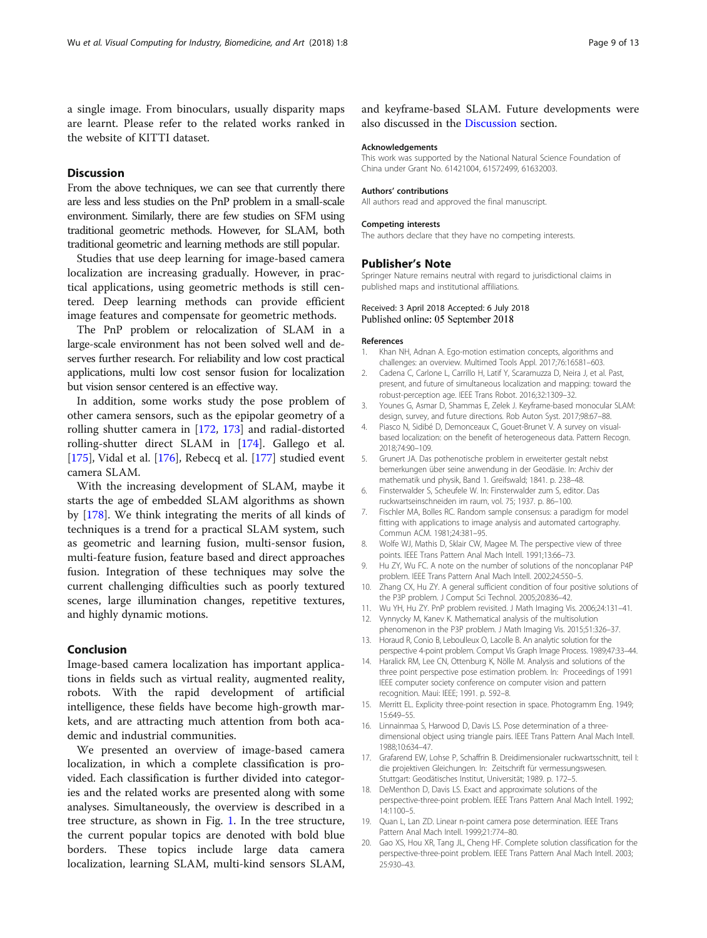<span id="page-8-0"></span>a single image. From binoculars, usually disparity maps are learnt. Please refer to the related works ranked in the website of KITTI dataset.

# Discussion

From the above techniques, we can see that currently there are less and less studies on the PnP problem in a small-scale environment. Similarly, there are few studies on SFM using traditional geometric methods. However, for SLAM, both traditional geometric and learning methods are still popular.

Studies that use deep learning for image-based camera localization are increasing gradually. However, in practical applications, using geometric methods is still centered. Deep learning methods can provide efficient image features and compensate for geometric methods.

The PnP problem or relocalization of SLAM in a large-scale environment has not been solved well and deserves further research. For reliability and low cost practical applications, multi low cost sensor fusion for localization but vision sensor centered is an effective way.

In addition, some works study the pose problem of other camera sensors, such as the epipolar geometry of a rolling shutter camera in [\[172,](#page-12-0) [173](#page-12-0)] and radial-distorted rolling-shutter direct SLAM in [\[174](#page-12-0)]. Gallego et al. [[175\]](#page-12-0), Vidal et al. [[176\]](#page-12-0), Rebecq et al. [[177\]](#page-12-0) studied event camera SLAM.

With the increasing development of SLAM, maybe it starts the age of embedded SLAM algorithms as shown by [[178\]](#page-12-0). We think integrating the merits of all kinds of techniques is a trend for a practical SLAM system, such as geometric and learning fusion, multi-sensor fusion, multi-feature fusion, feature based and direct approaches fusion. Integration of these techniques may solve the current challenging difficulties such as poorly textured scenes, large illumination changes, repetitive textures, and highly dynamic motions.

#### Conclusion

Image-based camera localization has important applications in fields such as virtual reality, augmented reality, robots. With the rapid development of artificial intelligence, these fields have become high-growth markets, and are attracting much attention from both academic and industrial communities.

We presented an overview of image-based camera localization, in which a complete classification is provided. Each classification is further divided into categories and the related works are presented along with some analyses. Simultaneously, the overview is described in a tree structure, as shown in Fig. [1.](#page-2-0) In the tree structure, the current popular topics are denoted with bold blue borders. These topics include large data camera localization, learning SLAM, multi-kind sensors SLAM,

and keyframe-based SLAM. Future developments were also discussed in the Discussion section.

### Acknowledgements

This work was supported by the National Natural Science Foundation of China under Grant No. 61421004, 61572499, 61632003.

#### Authors' contributions

All authors read and approved the final manuscript.

#### Competing interests

The authors declare that they have no competing interests.

#### Publisher's Note

Springer Nature remains neutral with regard to jurisdictional claims in published maps and institutional affiliations.

# Received: 3 April 2018 Accepted: 6 July 2018 Published online: 05 September 2018

#### References

- 1. Khan NH, Adnan A. Ego-motion estimation concepts, algorithms and challenges: an overview. Multimed Tools Appl. 2017;76:16581–603.
- 2. Cadena C, Carlone L, Carrillo H, Latif Y, Scaramuzza D, Neira J, et al. Past, present, and future of simultaneous localization and mapping: toward the robust-perception age. IEEE Trans Robot. 2016;32:1309–32.
- 3. Younes G, Asmar D, Shammas E, Zelek J. Keyframe-based monocular SLAM: design, survey, and future directions. Rob Auton Syst. 2017;98:67–88.
- 4. Piasco N, Sidibé D, Demonceaux C, Gouet-Brunet V. A survey on visualbased localization: on the benefit of heterogeneous data. Pattern Recogn. 2018;74:90–109.
- 5. Grunert JA. Das pothenotische problem in erweiterter gestalt nebst bemerkungen über seine anwendung in der Geodäsie. In: Archiv der mathematik und physik, Band 1. Greifswald; 1841. p. 238–48.
- 6. Finsterwalder S, Scheufele W. In: Finsterwalder zum S, editor. Das ruckwartseinschneiden im raum, vol. 75; 1937. p. 86–100.
- 7. Fischler MA, Bolles RC. Random sample consensus: a paradigm for model fitting with applications to image analysis and automated cartography. Commun ACM. 1981;24:381–95.
- 8. Wolfe WJ, Mathis D, Sklair CW, Magee M. The perspective view of three points. IEEE Trans Pattern Anal Mach Intell. 1991;13:66–73.
- 9. Hu ZY, Wu FC. A note on the number of solutions of the noncoplanar P4P problem. IEEE Trans Pattern Anal Mach Intell. 2002;24:550–5.
- 10. Zhang CX, Hu ZY. A general sufficient condition of four positive solutions of the P3P problem. J Comput Sci Technol. 2005;20:836–42.
- 11. Wu YH, Hu ZY. PnP problem revisited. J Math Imaging Vis. 2006;24:131–41.
- 12. Vynnycky M, Kanev K. Mathematical analysis of the multisolution
- phenomenon in the P3P problem. J Math Imaging Vis. 2015;51:326–37. 13. Horaud R, Conio B, Leboulleux O, Lacolle B. An analytic solution for the
- perspective 4-point problem. Comput Vis Graph Image Process. 1989;47:33–44. 14. Haralick RM, Lee CN, Ottenburg K, Nölle M. Analysis and solutions of the
- three point perspective pose estimation problem. In: Proceedings of 1991 IEEE computer society conference on computer vision and pattern recognition. Maui: IEEE; 1991. p. 592–8.
- 15. Merritt EL. Explicity three-point resection in space. Photogramm Eng. 1949; 15:649–55.
- 16. Linnainmaa S, Harwood D, Davis LS. Pose determination of a threedimensional object using triangle pairs. IEEE Trans Pattern Anal Mach Intell. 1988;10:634–47.
- 17. Grafarend EW, Lohse P, Schaffrin B. Dreidimensionaler ruckwartsschnitt, teil I: die projektiven Gleichungen. In: Zeitschrift für vermessungswesen. Stuttgart: Geodätisches Institut, Universität; 1989. p. 172–5.
- 18. DeMenthon D, Davis LS. Exact and approximate solutions of the perspective-three-point problem. IEEE Trans Pattern Anal Mach Intell. 1992; 14:1100–5.
- 19. Quan L, Lan ZD. Linear n-point camera pose determination. IEEE Trans Pattern Anal Mach Intell. 1999;21:774–80.
- 20. Gao XS, Hou XR, Tang JL, Cheng HF. Complete solution classification for the perspective-three-point problem. IEEE Trans Pattern Anal Mach Intell. 2003; 25:930–43.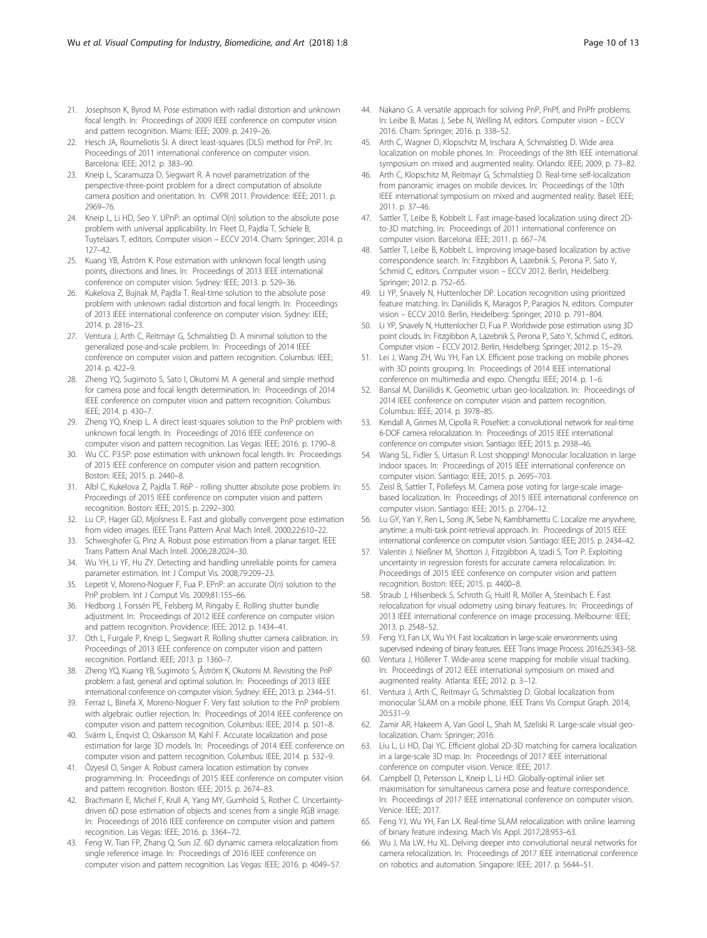- <span id="page-9-0"></span>21. Josephson K, Byrod M. Pose estimation with radial distortion and unknown focal length. In: Proceedings of 2009 IEEE conference on computer vision and pattern recognition. Miami: IEEE; 2009. p. 2419–26.
- 22. Hesch JA, Roumeliotis SI. A direct least-squares (DLS) method for PnP. In: Proceedings of 2011 international conference on computer vision. Barcelona: IEEE; 2012. p. 383–90.
- 23. Kneip L, Scaramuzza D, Siegwart R. A novel parametrization of the perspective-three-point problem for a direct computation of absolute camera position and orientation. In: CVPR 2011. Providence: IEEE; 2011. p. 2969–76.
- 24. Kneip L, Li HD, Seo Y. UPnP: an optimal O(n) solution to the absolute pose problem with universal applicability. In: Fleet D, Pajdla T, Schiele B, Tuytelaars T, editors. Computer vision – ECCV 2014. Cham: Springer; 2014. p. 127–42.
- 25. Kuang YB, Åström K. Pose estimation with unknown focal length using points, directions and lines. In: Proceedings of 2013 IEEE international conference on computer vision. Sydney: IEEE; 2013. p. 529–36.
- 26. Kukelova Z, Bujnak M, Pajdla T. Real-time solution to the absolute pose problem with unknown radial distortion and focal length. In: Proceedings of 2013 IEEE international conference on computer vision. Sydney: IEEE; 2014. p. 2816–23.
- 27. Ventura J, Arth C, Reitmayr G, Schmalstieg D. A minimal solution to the generalized pose-and-scale problem. In: Proceedings of 2014 IEEE conference on computer vision and pattern recognition. Columbus: IEEE; 2014. p. 422–9.
- 28. Zheng YQ, Sugimoto S, Sato I, Okutomi M. A general and simple method for camera pose and focal length determination. In: Proceedings of 2014 IEEE conference on computer vision and pattern recognition. Columbus: IEEE; 2014. p. 430–7.
- 29. Zheng YQ, Kneip L. A direct least-squares solution to the PnP problem with unknown focal length. In: Proceedings of 2016 IEEE conference on computer vision and pattern recognition. Las Vegas: IEEE; 2016. p. 1790–8.
- 30. Wu CC. P3.5P: pose estimation with unknown focal length. In: Proceedings of 2015 IEEE conference on computer vision and pattern recognition. Boston: IEEE; 2015. p. 2440–8.
- 31. Albl C, Kukelova Z, Pajdla T. R6P rolling shutter absolute pose problem. In: Proceedings of 2015 IEEE conference on computer vision and pattern recognition. Boston: IEEE; 2015. p. 2292–300.
- 32. Lu CP, Hager GD, Mjolsness E. Fast and globally convergent pose estimation from video images. IEEE Trans Pattern Anal Mach Intell. 2000;22:610–22.
- 33. Schweighofer G, Pinz A. Robust pose estimation from a planar target. IEEE Trans Pattern Anal Mach Intell. 2006;28:2024–30.
- 34. Wu YH, Li YF, Hu ZY. Detecting and handling unreliable points for camera parameter estimation. Int J Comput Vis. 2008;79:209–23.
- 35. Lepetit V, Moreno-Noguer F, Fua P. EPnP: an accurate O(n) solution to the PnP problem. Int J Comput Vis. 2009;81:155–66.
- 36. Hedborg J, Forssén PE, Felsberg M, Ringaby E. Rolling shutter bundle adjustment. In: Proceedings of 2012 IEEE conference on computer vision and pattern recognition. Providence: IEEE; 2012. p. 1434–41.
- 37. Oth L, Furgale P, Kneip L, Siegwart R. Rolling shutter camera calibration. In: Proceedings of 2013 IEEE conference on computer vision and pattern recognition. Portland: IEEE; 2013. p. 1360–7.
- 38. Zheng YQ, Kuang YB, Sugimoto S, Åström K, Okutomi M. Revisiting the PnP problem: a fast, general and optimal solution. In: Proceedings of 2013 IEEE international conference on computer vision. Sydney: IEEE; 2013. p. 2344–51.
- 39. Ferraz L, Binefa X, Moreno-Noguer F. Very fast solution to the PnP problem with algebraic outlier rejection. In: Proceedings of 2014 IEEE conference on computer vision and pattern recognition. Columbus: IEEE; 2014. p. 501–8.
- 40. Svärm L, Enqvist O, Oskarsson M, Kahl F. Accurate localization and pose estimation for large 3D models. In: Proceedings of 2014 IEEE conference on computer vision and pattern recognition. Columbus: IEEE; 2014. p. 532–9.
- 41. Özyesil O, Singer A. Robust camera location estimation by convex programming. In: Proceedings of 2015 IEEE conference on computer vision and pattern recognition. Boston: IEEE; 2015. p. 2674–83.
- 42. Brachmann E, Michel F, Krull A, Yang MY, Gumhold S, Rother C. Uncertaintydriven 6D pose estimation of objects and scenes from a single RGB image. In: Proceedings of 2016 IEEE conference on computer vision and pattern recognition. Las Vegas: IEEE; 2016. p. 3364–72.
- 43. Feng W, Tian FP, Zhang Q, Sun JZ. 6D dynamic camera relocalization from single reference image. In: Proceedings of 2016 IEEE conference on computer vision and pattern recognition. Las Vegas: IEEE; 2016. p. 4049–57.
- 44. Nakano G. A versatile approach for solving PnP, PnPf, and PnPfr problems. In: Leibe B, Matas J, Sebe N, Welling M, editors. Computer vision – ECCV 2016. Cham: Springer; 2016. p. 338–52.
- 45. Arth C, Wagner D, Klopschitz M, Irschara A, Schmalstieg D. Wide area localization on mobile phones. In: Proceedings of the 8th IEEE international symposium on mixed and augmented reality. Orlando: IEEE; 2009. p. 73–82.
- Arth C, Klopschitz M, Reitmayr G, Schmalstieg D. Real-time self-localization from panoramic images on mobile devices. In: Proceedings of the 10th IEEE international symposium on mixed and augmented reality. Basel: IEEE; 2011. p. 37–46.
- 47. Sattler T, Leibe B, Kobbelt L. Fast image-based localization using direct 2Dto-3D matching. In: Proceedings of 2011 international conference on computer vision. Barcelona: IEEE; 2011. p. 667–74.
- 48. Sattler T, Leibe B, Kobbelt L. Improving image-based localization by active correspondence search. In: Fitzgibbon A, Lazebnik S, Perona P, Sato Y, Schmid C, editors. Computer vision – ECCV 2012. Berlin, Heidelberg: Springer; 2012. p. 752–65.
- 49. Li YP, Snavely N, Huttenlocher DP. Location recognition using prioritized feature matching. In: Daniilidis K, Maragos P, Paragios N, editors. Computer vision – ECCV 2010. Berlin, Heidelberg: Springer; 2010. p. 791–804.
- 50. Li YP, Snavely N, Huttenlocher D, Fua P. Worldwide pose estimation using 3D point clouds. In: Fitzgibbon A, Lazebnik S, Perona P, Sato Y, Schmid C, editors. Computer vision – ECCV 2012. Berlin, Heidelberg: Springer; 2012. p. 15–29.
- 51. Lei J, Wang ZH, Wu YH, Fan LX. Efficient pose tracking on mobile phones with 3D points grouping. In: Proceedings of 2014 IEEE international conference on multimedia and expo. Chengdu: IEEE; 2014. p. 1–6.
- 52. Bansal M, Daniilidis K. Geometric urban geo-localization. In: Proceedings of 2014 IEEE conference on computer vision and pattern recognition. Columbus: IEEE; 2014. p. 3978–85.
- 53. Kendall A, Grimes M, Cipolla R. PoseNet: a convolutional network for real-time 6-DOF camera relocalization. In: Proceedings of 2015 IEEE international conference on computer vision. Santiago: IEEE; 2015. p. 2938–46.
- 54. Wang SL, Fidler S, Urtasun R. Lost shopping! Monocular localization in large indoor spaces. In: Proceedings of 2015 IEEE international conference on computer vision. Santiago: IEEE; 2015. p. 2695–703.
- 55. Zeisl B, Sattler T, Pollefeys M. Camera pose voting for large-scale imagebased localization. In: Proceedings of 2015 IEEE international conference on computer vision. Santiago: IEEE; 2015. p. 2704–12.
- 56. Lu GY, Yan Y, Ren L, Song JK, Sebe N, Kambhamettu C. Localize me anywhere, anytime: a multi-task point-retrieval approach. In: Proceedings of 2015 IEEE international conference on computer vision. Santiago: IEEE; 2015. p. 2434–42.
- 57. Valentin J, Nießner M, Shotton J, Fitzgibbon A, Izadi S, Torr P. Exploiting uncertainty in regression forests for accurate camera relocalization. In: Proceedings of 2015 IEEE conference on computer vision and pattern recognition. Boston: IEEE; 2015. p. 4400–8.
- 58. Straub J, Hilsenbeck S, Schroth G, Huitl R, Möller A, Steinbach E. Fast relocalization for visual odometry using binary features. In: Proceedings of 2013 IEEE international conference on image processing. Melbourne: IEEE; 2013. p. 2548–52.
- 59. Feng YJ, Fan LX, Wu YH. Fast localization in large-scale environments using supervised indexing of binary features. IEEE Trans Image Process. 2016;25:343–58.
- 60. Ventura J, Höllerer T. Wide-area scene mapping for mobile visual tracking. In: Proceedings of 2012 IEEE international symposium on mixed and augmented reality. Atlanta: IEEE; 2012. p. 3–12.
- 61. Ventura J, Arth C, Reitmayr G, Schmalstieg D. Global localization from monocular SLAM on a mobile phone. IEEE Trans Vis Comput Graph. 2014; 20:531–9.
- 62. Zamir AR, Hakeem A, Van Gool L, Shah M, Szeliski R. Large-scale visual geolocalization. Cham: Springer; 2016.
- 63. Liu L, Li HD, Dai YC. Efficient global 2D-3D matching for camera localization in a large-scale 3D map. In: Proceedings of 2017 IEEE international conference on computer vision. Venice: IEEE; 2017.
- 64. Campbell D, Petersson L, Kneip L, Li HD. Globally-optimal inlier set maximisation for simultaneous camera pose and feature correspondence. In: Proceedings of 2017 IEEE international conference on computer vision. Venice: IEEE; 2017.
- 65. Feng YJ, Wu YH, Fan LX. Real-time SLAM relocalization with online learning of binary feature indexing. Mach Vis Appl. 2017;28:953–63.
- 66. Wu J, Ma LW, Hu XL. Delving deeper into convolutional neural networks for camera relocalization. In: Proceedings of 2017 IEEE international conference on robotics and automation. Singapore: IEEE; 2017. p. 5644–51.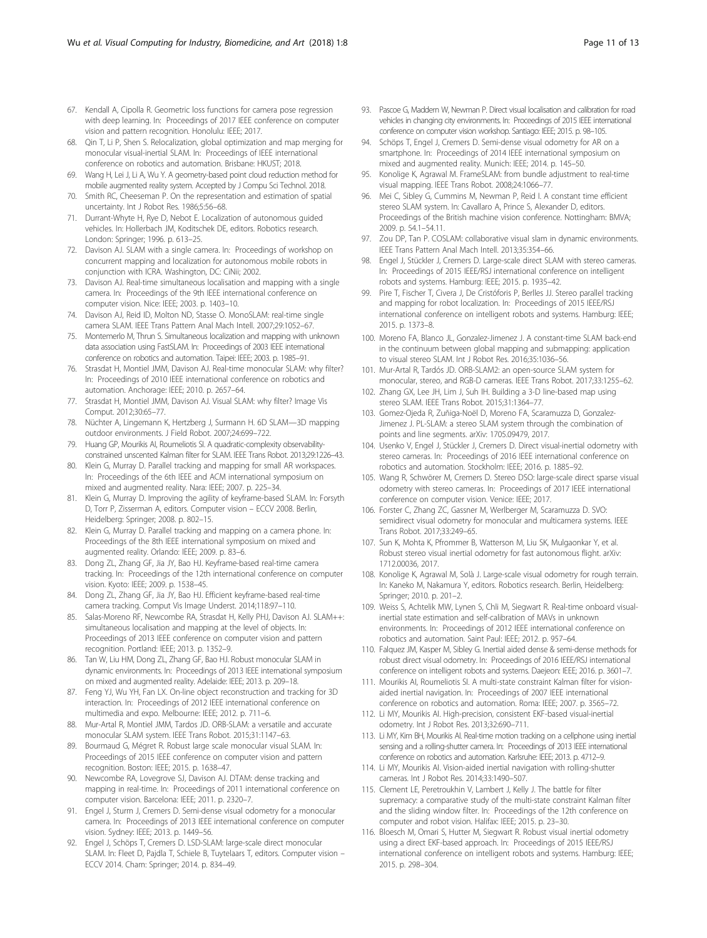- <span id="page-10-0"></span>67. Kendall A, Cipolla R. Geometric loss functions for camera pose regression with deep learning. In: Proceedings of 2017 IEEE conference on computer vision and pattern recognition. Honolulu: IEEE; 2017.
- 68. Qin T, Li P, Shen S. Relocalization, global optimization and map merging for monocular visual-inertial SLAM. In: Proceedings of IEEE international conference on robotics and automation. Brisbane: HKUST; 2018.
- 69. Wang H, Lei J, Li A, Wu Y. A geometry-based point cloud reduction method for mobile augmented reality system. Accepted by J Compu Sci Technol. 2018.
- 70. Smith RC, Cheeseman P. On the representation and estimation of spatial uncertainty. Int J Robot Res. 1986;5:56–68.
- 71. Durrant-Whyte H, Rye D, Nebot E. Localization of autonomous guided vehicles. In: Hollerbach JM, Koditschek DE, editors. Robotics research. London: Springer; 1996. p. 613–25.
- 72. Davison AJ. SLAM with a single camera. In: Proceedings of workshop on concurrent mapping and localization for autonomous mobile robots in conjunction with ICRA. Washington, DC: CiNii; 2002.
- 73. Davison AJ. Real-time simultaneous localisation and mapping with a single camera. In: Proceedings of the 9th IEEE international conference on computer vision. Nice: IEEE; 2003. p. 1403–10.
- 74. Davison AJ, Reid ID, Molton ND, Stasse O. MonoSLAM: real-time single camera SLAM. IEEE Trans Pattern Anal Mach Intell. 2007;29:1052–67.
- 75. Montemerlo M, Thrun S. Simultaneous localization and mapping with unknown data association using FastSLAM. In: Proceedings of 2003 IEEE international conference on robotics and automation. Taipei: IEEE; 2003. p. 1985–91.
- Strasdat H, Montiel JMM, Davison AJ. Real-time monocular SLAM: why filter? In: Proceedings of 2010 IEEE international conference on robotics and automation. Anchorage: IEEE; 2010. p. 2657–64.
- 77. Strasdat H, Montiel JMM, Davison AJ. Visual SLAM: why filter? Image Vis Comput. 2012;30:65–77.
- 78. Nüchter A, Lingemann K, Hertzberg J, Surmann H. 6D SLAM—3D mapping outdoor environments. J Field Robot. 2007;24:699–722.
- 79. Huang GP, Mourikis AI, Roumeliotis SI. A quadratic-complexity observabilityconstrained unscented Kalman filter for SLAM. IEEE Trans Robot. 2013;29:1226–43.
- 80. Klein G, Murray D. Parallel tracking and mapping for small AR workspaces. In: Proceedings of the 6th IEEE and ACM international symposium on mixed and augmented reality. Nara: IEEE; 2007. p. 225–34.
- 81. Klein G, Murray D. Improving the agility of keyframe-based SLAM. In: Forsyth D, Torr P, Zisserman A, editors. Computer vision – ECCV 2008. Berlin, Heidelberg: Springer; 2008. p. 802–15.
- 82. Klein G, Murray D. Parallel tracking and mapping on a camera phone. In: Proceedings of the 8th IEEE international symposium on mixed and augmented reality. Orlando: IEEE; 2009. p. 83–6.
- 83. Dong ZL, Zhang GF, Jia JY, Bao HJ. Keyframe-based real-time camera tracking. In: Proceedings of the 12th international conference on computer vision. Kyoto: IEEE; 2009. p. 1538–45.
- 84. Dong ZL, Zhang GF, Jia JY, Bao HJ. Efficient keyframe-based real-time camera tracking. Comput Vis Image Underst. 2014;118:97–110.
- 85. Salas-Moreno RF, Newcombe RA, Strasdat H, Kelly PHJ, Davison AJ. SLAM++: simultaneous localisation and mapping at the level of objects. In: Proceedings of 2013 IEEE conference on computer vision and pattern recognition. Portland: IEEE; 2013. p. 1352–9.
- 86. Tan W, Liu HM, Dong ZL, Zhang GF, Bao HJ. Robust monocular SLAM in dynamic environments. In: Proceedings of 2013 IEEE international symposium on mixed and augmented reality. Adelaide: IEEE; 2013. p. 209–18.
- 87. Feng YJ, Wu YH, Fan LX. On-line object reconstruction and tracking for 3D interaction. In: Proceedings of 2012 IEEE international conference on multimedia and expo. Melbourne: IEEE; 2012. p. 711–6.
- 88. Mur-Artal R, Montiel JMM, Tardos JD. ORB-SLAM: a versatile and accurate monocular SLAM system. IEEE Trans Robot. 2015;31:1147–63.
- 89. Bourmaud G, Mégret R. Robust large scale monocular visual SLAM. In: Proceedings of 2015 IEEE conference on computer vision and pattern recognition. Boston: IEEE; 2015. p. 1638–47.
- 90. Newcombe RA, Lovegrove SJ, Davison AJ. DTAM: dense tracking and mapping in real-time. In: Proceedings of 2011 international conference on computer vision. Barcelona: IEEE; 2011. p. 2320–7.
- 91. Engel J, Sturm J, Cremers D. Semi-dense visual odometry for a monocular camera. In: Proceedings of 2013 IEEE international conference on computer vision. Sydney: IEEE; 2013. p. 1449–56.
- 92. Engel J, Schöps T, Cremers D. LSD-SLAM: large-scale direct monocular SLAM. In: Fleet D, Pajdla T, Schiele B, Tuytelaars T, editors. Computer vision – ECCV 2014. Cham: Springer; 2014. p. 834–49.
- 93. Pascoe G, Maddern W, Newman P. Direct visual localisation and calibration for road vehicles in changing city environments. In: Proceedings of 2015 IEEE international conference on computer vision workshop. Santiago: IEEE; 2015. p. 98–105.
- 94. Schöps T, Engel J, Cremers D. Semi-dense visual odometry for AR on a smartphone. In: Proceedings of 2014 IEEE international symposium on mixed and augmented reality. Munich: IEEE; 2014. p. 145–50.
- 95. Konolige K, Agrawal M. FrameSLAM: from bundle adjustment to real-time visual mapping. IEEE Trans Robot. 2008;24:1066–77.
- 96. Mei C, Sibley G, Cummins M, Newman P, Reid I. A constant time efficient stereo SLAM system. In: Cavallaro A, Prince S, Alexander D, editors. Proceedings of the British machine vision conference. Nottingham: BMVA; 2009. p. 54.1–54.11.
- 97. Zou DP, Tan P. COSLAM: collaborative visual slam in dynamic environments. IEEE Trans Pattern Anal Mach Intell. 2013;35:354–66.
- 98. Engel J, Stückler J, Cremers D. Large-scale direct SLAM with stereo cameras. In: Proceedings of 2015 IEEE/RSJ international conference on intelligent robots and systems. Hamburg: IEEE; 2015. p. 1935–42.
- 99. Pire T, Fischer T, Civera J, De Cristóforis P, Berlles JJ. Stereo parallel tracking and mapping for robot localization. In: Proceedings of 2015 IEEE/RSJ international conference on intelligent robots and systems. Hamburg: IEEE; 2015. p. 1373–8.
- 100. Moreno FA, Blanco JL, Gonzalez-Jimenez J. A constant-time SLAM back-end in the continuum between global mapping and submapping: application to visual stereo SLAM. Int J Robot Res. 2016;35:1036–56.
- 101. Mur-Artal R, Tardós JD. ORB-SLAM2: an open-source SLAM system for monocular, stereo, and RGB-D cameras. IEEE Trans Robot. 2017;33:1255–62.
- 102. Zhang GX, Lee JH, Lim J, Suh IH. Building a 3-D line-based map using stereo SLAM. IEEE Trans Robot. 2015;31:1364–77.
- 103. Gomez-Ojeda R, Zuñiga-Noël D, Moreno FA, Scaramuzza D, Gonzalez-Jimenez J. PL-SLAM: a stereo SLAM system through the combination of points and line segments. arXiv: 1705.09479, 2017.
- 104. Usenko V, Engel J, Stückler J, Cremers D. Direct visual-inertial odometry with stereo cameras. In: Proceedings of 2016 IEEE international conference on robotics and automation. Stockholm: IEEE; 2016. p. 1885–92.
- 105. Wang R, Schwörer M, Cremers D. Stereo DSO: large-scale direct sparse visual odometry with stereo cameras. In: Proceedings of 2017 IEEE international conference on computer vision. Venice: IEEE; 2017.
- 106. Forster C, Zhang ZC, Gassner M, Werlberger M, Scaramuzza D. SVO: semidirect visual odometry for monocular and multicamera systems. IEEE Trans Robot. 2017;33:249–65.
- 107. Sun K, Mohta K, Pfrommer B, Watterson M, Liu SK, Mulgaonkar Y, et al. Robust stereo visual inertial odometry for fast autonomous flight. arXiv: 1712.00036, 2017.
- 108. Konolige K, Agrawal M, Solà J. Large-scale visual odometry for rough terrain. In: Kaneko M, Nakamura Y, editors. Robotics research. Berlin, Heidelberg: Springer; 2010. p. 201–2.
- 109. Weiss S, Achtelik MW, Lynen S, Chli M, Siegwart R. Real-time onboard visualinertial state estimation and self-calibration of MAVs in unknown environments. In: Proceedings of 2012 IEEE international conference on robotics and automation. Saint Paul: IEEE; 2012. p. 957–64.
- 110. Falquez JM, Kasper M, Sibley G. Inertial aided dense & semi-dense methods for robust direct visual odometry. In: Proceedings of 2016 IEEE/RSJ international conference on intelligent robots and systems. Daejeon: IEEE; 2016. p. 3601–7.
- 111. Mourikis AI, Roumeliotis SI. A multi-state constraint Kalman filter for visionaided inertial navigation. In: Proceedings of 2007 IEEE international conference on robotics and automation. Roma: IEEE; 2007. p. 3565–72.
- 112. Li MY, Mourikis AI. High-precision, consistent EKF-based visual-inertial odometry. Int J Robot Res. 2013;32:690–711.
- 113. Li MY, Kim BH, Mourikis AI. Real-time motion tracking on a cellphone using inertial sensing and a rolling-shutter camera. In: Proceedings of 2013 IEEE international conference on robotics and automation. Karlsruhe: IEEE; 2013. p. 4712–9.
- 114. Li MY, Mourikis AI. Vision-aided inertial navigation with rolling-shutter cameras. Int J Robot Res. 2014;33:1490–507.
- 115. Clement LE, Peretroukhin V, Lambert J, Kelly J. The battle for filter supremacy: a comparative study of the multi-state constraint Kalman filter and the sliding window filter. In: Proceedings of the 12th conference on computer and robot vision. Halifax: IEEE; 2015. p. 23–30.
- 116. Bloesch M, Omari S, Hutter M, Siegwart R. Robust visual inertial odometry using a direct EKF-based approach. In: Proceedings of 2015 IEEE/RSJ international conference on intelligent robots and systems. Hamburg: IEEE; 2015. p. 298–304.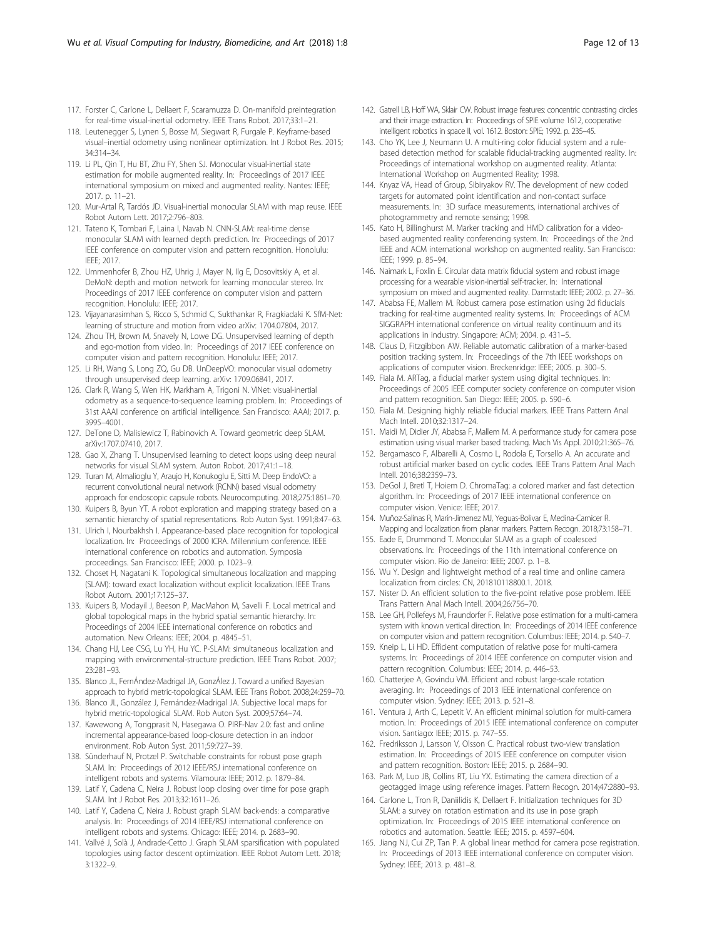- <span id="page-11-0"></span>117. Forster C, Carlone L, Dellaert F, Scaramuzza D. On-manifold preintegration for real-time visual-inertial odometry. IEEE Trans Robot. 2017;33:1–21.
- 118. Leutenegger S, Lynen S, Bosse M, Siegwart R, Furgale P. Keyframe-based visual–inertial odometry using nonlinear optimization. Int J Robot Res. 2015; 34:314–34.
- 119. Li PL, Qin T, Hu BT, Zhu FY, Shen SJ. Monocular visual-inertial state estimation for mobile augmented reality. In: Proceedings of 2017 IEEE international symposium on mixed and augmented reality. Nantes: IEEE; 2017. p. 11–21.
- 120. Mur-Artal R, Tardós JD. Visual-inertial monocular SLAM with map reuse. IEEE Robot Autom Lett. 2017;2:796–803.
- 121. Tateno K, Tombari F, Laina I, Navab N. CNN-SLAM: real-time dense monocular SLAM with learned depth prediction. In: Proceedings of 2017 IEEE conference on computer vision and pattern recognition. Honolulu: IEEE; 2017.
- 122. Ummenhofer B, Zhou HZ, Uhrig J, Mayer N, Ilg E, Dosovitskiy A, et al. DeMoN: depth and motion network for learning monocular stereo. In: Proceedings of 2017 IEEE conference on computer vision and pattern recognition. Honolulu: IEEE; 2017.
- 123. Vijayanarasimhan S, Ricco S, Schmid C, Sukthankar R, Fragkiadaki K. SfM-Net: learning of structure and motion from video arXiv: 1704.07804, 2017.
- 124. Zhou TH, Brown M, Snavely N, Lowe DG. Unsupervised learning of depth and ego-motion from video. In: Proceedings of 2017 IEEE conference on computer vision and pattern recognition. Honolulu: IEEE; 2017.
- 125. Li RH, Wang S, Long ZQ, Gu DB. UnDeepVO: monocular visual odometry through unsupervised deep learning. arXiv: 1709.06841, 2017.
- 126. Clark R, Wang S, Wen HK, Markham A, Trigoni N. VINet: visual-inertial odometry as a sequence-to-sequence learning problem. In: Proceedings of 31st AAAI conference on artificial intelligence. San Francisco: AAAI; 2017. p. 3995–4001.
- 127. DeTone D, Malisiewicz T, Rabinovich A. Toward geometric deep SLAM. arXiv:1707.07410, 2017.
- 128. Gao X, Zhang T. Unsupervised learning to detect loops using deep neural networks for visual SLAM system. Auton Robot. 2017;41:1–18.
- 129. Turan M, Almalioglu Y, Araujo H, Konukoglu E, Sitti M. Deep EndoVO: a recurrent convolutional neural network (RCNN) based visual odometry approach for endoscopic capsule robots. Neurocomputing. 2018;275:1861–70.
- 130. Kuipers B, Byun YT. A robot exploration and mapping strategy based on a semantic hierarchy of spatial representations. Rob Auton Syst. 1991;8:47–63.
- 131. Ulrich I, Nourbakhsh I. Appearance-based place recognition for topological localization. In: Proceedings of 2000 ICRA. Millennium conference. IEEE international conference on robotics and automation. Symposia proceedings. San Francisco: IEEE; 2000. p. 1023–9.
- 132. Choset H, Nagatani K. Topological simultaneous localization and mapping (SLAM): toward exact localization without explicit localization. IEEE Trans Robot Autom. 2001;17:125–37.
- 133. Kuipers B, Modayil J, Beeson P, MacMahon M, Savelli F. Local metrical and global topological maps in the hybrid spatial semantic hierarchy. In: Proceedings of 2004 IEEE international conference on robotics and automation. New Orleans: IEEE; 2004. p. 4845–51.
- 134. Chang HJ, Lee CSG, Lu YH, Hu YC. P-SLAM: simultaneous localization and mapping with environmental-structure prediction. IEEE Trans Robot. 2007; 23:281–93.
- 135. Blanco JL, FernÁndez-Madrigal JA, GonzÁlez J. Toward a unified Bayesian approach to hybrid metric-topological SLAM. IEEE Trans Robot. 2008;24:259–70.
- 136. Blanco JL, González J, Fernández-Madrigal JA. Subjective local maps for hybrid metric-topological SLAM. Rob Auton Syst. 2009;57:64–74.
- 137. Kawewong A, Tongprasit N, Hasegawa O. PIRF-Nav 2.0: fast and online incremental appearance-based loop-closure detection in an indoor environment. Rob Auton Syst. 2011;59:727–39.
- 138. Sünderhauf N, Protzel P. Switchable constraints for robust pose graph SLAM. In: Proceedings of 2012 IEEE/RSJ international conference on intelligent robots and systems. Vilamoura: IEEE; 2012. p. 1879–84.
- 139. Latif Y, Cadena C, Neira J. Robust loop closing over time for pose graph SLAM. Int J Robot Res. 2013;32:1611–26.
- 140. Latif Y, Cadena C, Neira J. Robust graph SLAM back-ends: a comparative analysis. In: Proceedings of 2014 IEEE/RSJ international conference on intelligent robots and systems. Chicago: IEEE; 2014. p. 2683–90.
- 141. Vallvé J, Solà J, Andrade-Cetto J. Graph SLAM sparsification with populated topologies using factor descent optimization. IEEE Robot Autom Lett. 2018; 3:1322–9.
- 142. Gatrell LB, Hoff WA, Sklair CW. Robust image features: concentric contrasting circles and their image extraction. In: Proceedings of SPIE volume 1612, cooperative intelligent robotics in space II, vol. 1612. Boston: SPIE; 1992. p. 235–45.
- 143. Cho YK, Lee J, Neumann U. A multi-ring color fiducial system and a rulebased detection method for scalable fiducial-tracking augmented reality. In: Proceedings of international workshop on augmented reality. Atlanta: International Workshop on Augmented Reality; 1998.
- 144. Knyaz VA, Head of Group, Sibiryakov RV. The development of new coded targets for automated point identification and non-contact surface measurements. In: 3D surface measurements, international archives of photogrammetry and remote sensing; 1998.
- 145. Kato H, Billinghurst M. Marker tracking and HMD calibration for a videobased augmented reality conferencing system. In: Proceedings of the 2nd IEEE and ACM international workshop on augmented reality. San Francisco: IEEE; 1999. p. 85–94.
- 146. Naimark L, Foxlin E. Circular data matrix fiducial system and robust image processing for a wearable vision-inertial self-tracker. In: International symposium on mixed and augmented reality. Darmstadt: IEEE; 2002. p. 27–36.
- 147. Ababsa FE, Mallem M. Robust camera pose estimation using 2d fiducials tracking for real-time augmented reality systems. In: Proceedings of ACM SIGGRAPH international conference on virtual reality continuum and its applications in industry. Singapore: ACM; 2004. p. 431–5.
- 148. Claus D, Fitzgibbon AW. Reliable automatic calibration of a marker-based position tracking system. In: Proceedings of the 7th IEEE workshops on applications of computer vision. Breckenridge: IEEE; 2005. p. 300–5.
- 149. Fiala M. ARTag, a fiducial marker system using digital techniques. In: Proceedings of 2005 IEEE computer society conference on computer vision and pattern recognition. San Diego: IEEE; 2005. p. 590–6.
- 150. Fiala M. Designing highly reliable fiducial markers. IEEE Trans Pattern Anal Mach Intell. 2010;32:1317–24.
- 151. Maidi M, Didier JY, Ababsa F, Mallem M. A performance study for camera pose estimation using visual marker based tracking. Mach Vis Appl. 2010;21:365–76.
- 152. Bergamasco F, Albarelli A, Cosmo L, Rodola E, Torsello A. An accurate and robust artificial marker based on cyclic codes. IEEE Trans Pattern Anal Mach Intell. 2016;38:2359–73.
- 153. DeGol J, Bretl T, Hoiem D. ChromaTag: a colored marker and fast detection algorithm. In: Proceedings of 2017 IEEE international conference on computer vision. Venice: IEEE; 2017.
- 154. Muñoz-Salinas R, Marín-Jimenez MJ, Yeguas-Bolivar E, Medina-Carnicer R. Mapping and localization from planar markers. Pattern Recogn. 2018;73:158–71.
- 155. Eade E, Drummond T. Monocular SLAM as a graph of coalesced observations. In: Proceedings of the 11th international conference on computer vision. Rio de Janeiro: IEEE; 2007. p. 1–8.
- 156. Wu Y. Design and lightweight method of a real time and online camera localization from circles: CN, 201810118800.1. 2018.
- 157. Nister D. An efficient solution to the five-point relative pose problem. IEEE Trans Pattern Anal Mach Intell. 2004;26:756–70.
- 158. Lee GH, Pollefeys M, Fraundorfer F. Relative pose estimation for a multi-camera system with known vertical direction. In: Proceedings of 2014 IEEE conference on computer vision and pattern recognition. Columbus: IEEE; 2014. p. 540–7.
- 159. Kneip L, Li HD. Efficient computation of relative pose for multi-camera systems. In: Proceedings of 2014 IEEE conference on computer vision and pattern recognition. Columbus: IEEE; 2014. p. 446–53.
- 160. Chatterjee A, Govindu VM. Efficient and robust large-scale rotation averaging. In: Proceedings of 2013 IEEE international conference on computer vision. Sydney: IEEE; 2013. p. 521–8.
- 161. Ventura J, Arth C, Lepetit V. An efficient minimal solution for multi-camera motion. In: Proceedings of 2015 IEEE international conference on computer vision. Santiago: IEEE; 2015. p. 747–55.
- 162. Fredriksson J, Larsson V, Olsson C. Practical robust two-view translation estimation. In: Proceedings of 2015 IEEE conference on computer vision and pattern recognition. Boston: IEEE; 2015. p. 2684–90.
- 163. Park M, Luo JB, Collins RT, Liu YX. Estimating the camera direction of a geotagged image using reference images. Pattern Recogn. 2014;47:2880–93.
- 164. Carlone L, Tron R, Daniilidis K, Dellaert F. Initialization techniques for 3D SLAM: a survey on rotation estimation and its use in pose graph optimization. In: Proceedings of 2015 IEEE international conference on robotics and automation. Seattle: IEEE; 2015. p. 4597–604.
- 165. Jiang NJ, Cui ZP, Tan P. A global linear method for camera pose registration. In: Proceedings of 2013 IEEE international conference on computer vision. Sydney: IEEE; 2013. p. 481–8.